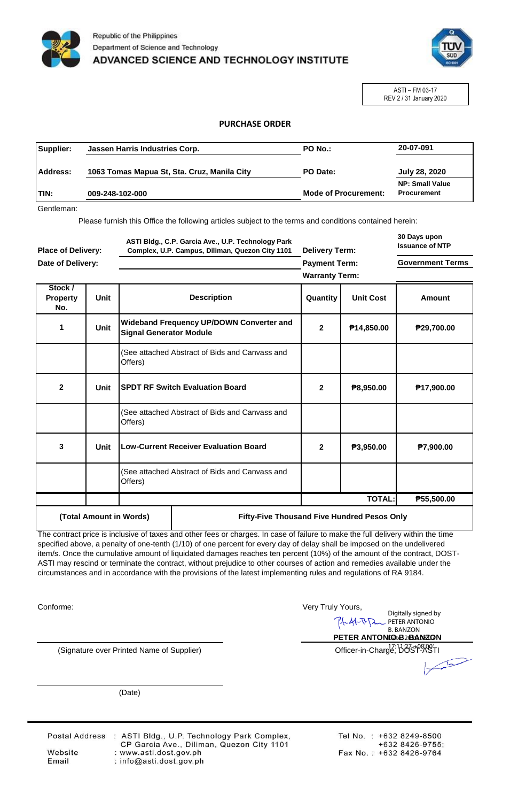



ASTI – FM 03-17 REV 2 / 31 January 2020

## **PURCHASE ORDER**

| Supplier:    | Jassen Harris Industries Corp.<br><b>PO No.:</b> |                             | 20-07-091                                    |
|--------------|--------------------------------------------------|-----------------------------|----------------------------------------------|
| Address:     | 1063 Tomas Mapua St, Sta. Cruz, Manila City      | PO Date:                    | July 28, 2020                                |
| <b>ITIN:</b> | 009-248-102-000                                  | <b>Mode of Procurement:</b> | <b>NP: Small Value</b><br><b>Procurement</b> |

Gentleman:

Please furnish this Office the following articles subject to the terms and conditions contained herein:

| <b>Place of Delivery:</b><br>Date of Delivery: |             | ASTI Bldg., C.P. Garcia Ave., U.P. Technology Park<br>Complex, U.P. Campus, Diliman, Quezon City 1101 |                                                 | <b>Delivery Term:</b> |                        | 30 Days upon<br><b>Issuance of NTP</b> |
|------------------------------------------------|-------------|-------------------------------------------------------------------------------------------------------|-------------------------------------------------|-----------------------|------------------------|----------------------------------------|
|                                                |             |                                                                                                       |                                                 | <b>Payment Term:</b>  |                        | <b>Government Terms</b>                |
|                                                |             |                                                                                                       |                                                 | <b>Warranty Term:</b> |                        |                                        |
| Stock /<br><b>Property</b><br>No.              | <b>Unit</b> |                                                                                                       | <b>Description</b>                              | Quantity              | <b>Unit Cost</b>       | Amount                                 |
| 1                                              | Unit        | <b>Signal Generator Module</b>                                                                        | <b>Wideband Frequency UP/DOWN Converter and</b> | $\mathbf{2}$          | P <sub>14,850.00</sub> | ₱29,700.00                             |
|                                                |             | Offers)                                                                                               | (See attached Abstract of Bids and Canvass and  |                       |                        |                                        |
| $\overline{2}$                                 | Unit        |                                                                                                       | <b>SPDT RF Switch Evaluation Board</b>          | $\mathbf{2}$          | P8,950.00              | P <sub>17,900.00</sub>                 |
|                                                |             | Offers)                                                                                               | (See attached Abstract of Bids and Canvass and  |                       |                        |                                        |
| 3                                              | Unit        |                                                                                                       | <b>Low-Current Receiver Evaluation Board</b>    | $\mathbf{2}$          | P3,950.00              | <b>P7,900.00</b>                       |
|                                                |             | Offers)                                                                                               | (See attached Abstract of Bids and Canvass and  |                       |                        |                                        |
|                                                |             |                                                                                                       |                                                 |                       | <b>TOTAL:</b>          | P55,500.00                             |
| (Total Amount in Words)                        |             |                                                                                                       | Fifty-Five Thousand Five Hundred Pesos Only     |                       |                        |                                        |

The contract price is inclusive of taxes and other fees or charges. In case of failure to make the full delivery within the time specified above, a penalty of one-tenth (1/10) of one percent for every day of delay shall be imposed on the undelivered item/s. Once the cumulative amount of liquidated damages reaches ten percent (10%) of the amount of the contract, DOST-ASTI may rescind or terminate the contract, without prejudice to other courses of action and remedies available under the circumstances and in accordance with the provisions of the latest implementing rules and regulations of RA 9184.

Conforme:

Very Truly Yours, Digitally signed by 八 PETER ANTONIO B. BANZON **PETER ANTONIGtB2BANZON** Officer-in-Charge, DOST-ASTI

(Date)

(Signature over Printed Name of Supplier)

Website

Email

Postal Address : ASTI Bldg., U.P. Technology Park Complex,<br>CP Garcia Ave., Diliman, Quezon City 1101 : www.asti.dost.gov.ph : info@asti.dost.gov.ph

Tel No.: +632 8249-8500 +632 8426-9755; Fax No.: +632 8426-9764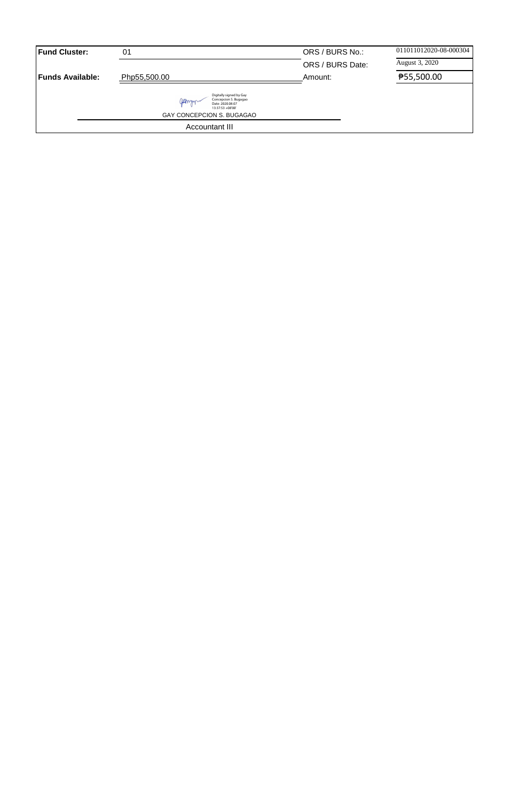| <b>Fund Cluster:</b>     | 01                                                                                                                            | ORS / BURS No.:  | 011011012020-08-000304 |
|--------------------------|-------------------------------------------------------------------------------------------------------------------------------|------------------|------------------------|
|                          |                                                                                                                               | ORS / BURS Date: | August 3, 2020         |
| <b>IFunds Available:</b> | Php55,500.00                                                                                                                  | Amount:          | ₱55,500.00             |
|                          | Digitally signed by Gay<br>Concepcion S. Bugagao<br>gamm<br>Date: 2020.08.07<br>13:37:53 +08'00"<br>GAY CONCEPCION S. BUGAGAO |                  |                        |
|                          | Accountant III                                                                                                                |                  |                        |